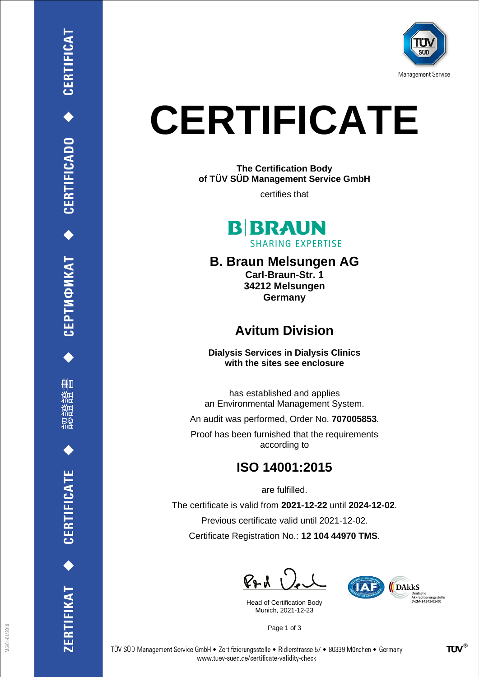

# **CERTIFICATE**

**The Certification Body of TÜV SÜD Management Service GmbH**

certifies that



**B. Braun Melsungen AG Carl-Braun-Str. 1 34212 Melsungen Germany**

## **Avitum Division**

**Dialysis Services in Dialysis Clinics with the sites see enclosure**

has established and applies an Environmental Management System.

An audit was performed, Order No. **707005853**.

Proof has been furnished that the requirements according to

## **ISO 14001:2015**

are fulfilled.

The certificate is valid from **2021-12-22** until **2024-12-02**. Previous certificate valid until 2021-12-02. Certificate Registration No.: **12 104 44970 TMS**.

 $PAU$ 

Head of Certification Body Munich, 2021-12-23



Page 1 of 3

CEPTИФИКАТ ◆ CERTIFICADO ◆ CERTIFICAT

删

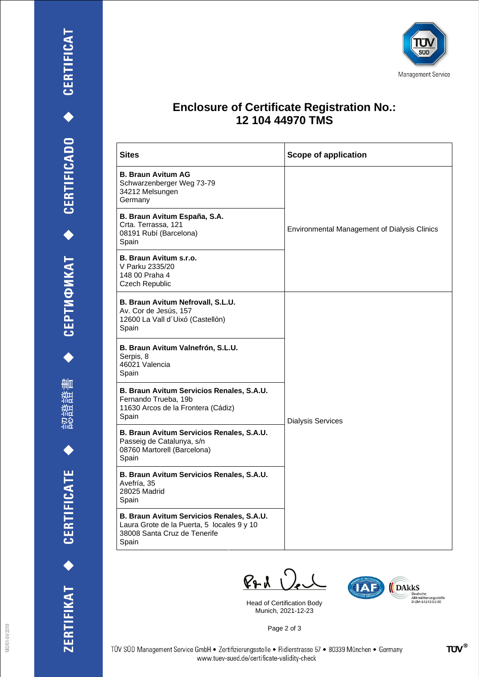認證證書



#### **Enclosure of Certificate Registration No.: 12 104 44970 TMS**

| <b>Sites</b>                                                                                                                     | <b>Scope of application</b>                         |
|----------------------------------------------------------------------------------------------------------------------------------|-----------------------------------------------------|
| <b>B. Braun Avitum AG</b><br>Schwarzenberger Weg 73-79<br>34212 Melsungen<br>Germany                                             | <b>Environmental Management of Dialysis Clinics</b> |
| B. Braun Avitum España, S.A.<br>Crta. Terrassa, 121<br>08191 Rubí (Barcelona)<br>Spain                                           |                                                     |
| B. Braun Avitum s.r.o.<br>V Parku 2335/20<br>148 00 Praha 4<br>Czech Republic                                                    |                                                     |
| B. Braun Avitum Nefrovall, S.L.U.<br>Av. Cor de Jesús, 157<br>12600 La Vall d'Uixó (Castellón)<br>Spain                          | <b>Dialysis Services</b>                            |
| B. Braun Avitum Valnefrón, S.L.U.<br>Serpis, 8<br>46021 Valencia<br>Spain                                                        |                                                     |
| B. Braun Avitum Servicios Renales, S.A.U.<br>Fernando Trueba, 19b<br>11630 Arcos de la Frontera (Cádiz)<br>Spain                 |                                                     |
| B. Braun Avitum Servicios Renales, S.A.U.<br>Passeig de Catalunya, s/n<br>08760 Martorell (Barcelona)<br>Spain                   |                                                     |
| B. Braun Avitum Servicios Renales, S.A.U.<br>Avefría, 35<br>28025 Madrid<br>Spain                                                |                                                     |
| B. Braun Avitum Servicios Renales, S.A.U.<br>Laura Grote de la Puerta, 5 locales 9 y 10<br>38008 Santa Cruz de Tenerife<br>Spain |                                                     |

 $PAV$ 

Head of Certification Body Munich, 2021-12-23



Page 2 of 3